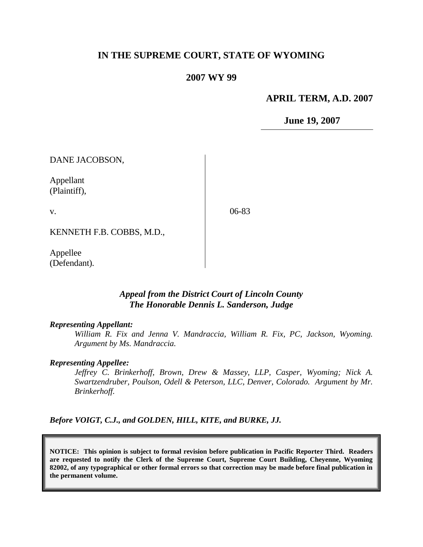### **IN THE SUPREME COURT, STATE OF WYOMING**

#### **2007 WY 99**

#### **APRIL TERM, A.D. 2007**

**June 19, 2007**

DANE JACOBSON,

Appellant (Plaintiff),

v.

06-83

KENNETH F.B. COBBS, M.D.,

Appellee (Defendant).

#### *Appeal from the District Court of Lincoln County The Honorable Dennis L. Sanderson, Judge*

#### *Representing Appellant:*

*William R. Fix and Jenna V. Mandraccia, William R. Fix, PC, Jackson, Wyoming. Argument by Ms. Mandraccia.*

#### *Representing Appellee:*

*Jeffrey C. Brinkerhoff, Brown, Drew & Massey, LLP, Casper, Wyoming; Nick A. Swartzendruber, Poulson, Odell & Peterson, LLC, Denver, Colorado. Argument by Mr. Brinkerhoff.*

*Before VOIGT, C.J., and GOLDEN, HILL, KITE, and BURKE, JJ.*

**NOTICE: This opinion is subject to formal revision before publication in Pacific Reporter Third. Readers are requested to notify the Clerk of the Supreme Court, Supreme Court Building, Cheyenne, Wyoming 82002, of any typographical or other formal errors so that correction may be made before final publication in the permanent volume.**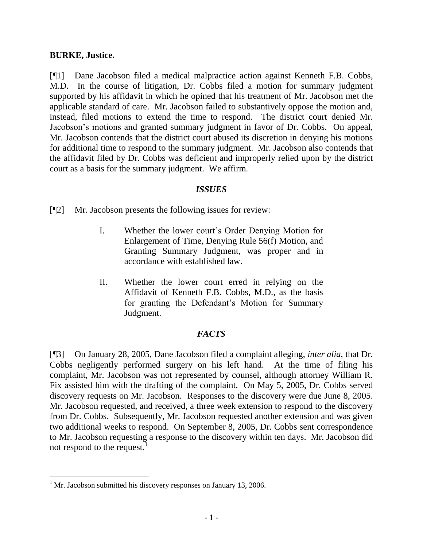#### **BURKE, Justice.**

[¶1] Dane Jacobson filed a medical malpractice action against Kenneth F.B. Cobbs, M.D. In the course of litigation, Dr. Cobbs filed a motion for summary judgment supported by his affidavit in which he opined that his treatment of Mr. Jacobson met the applicable standard of care. Mr. Jacobson failed to substantively oppose the motion and, instead, filed motions to extend the time to respond. The district court denied Mr. Jacobson"s motions and granted summary judgment in favor of Dr. Cobbs. On appeal, Mr. Jacobson contends that the district court abused its discretion in denying his motions for additional time to respond to the summary judgment. Mr. Jacobson also contends that the affidavit filed by Dr. Cobbs was deficient and improperly relied upon by the district court as a basis for the summary judgment. We affirm.

#### *ISSUES*

[¶2] Mr. Jacobson presents the following issues for review:

- I. Whether the lower court"s Order Denying Motion for Enlargement of Time, Denying Rule 56(f) Motion, and Granting Summary Judgment, was proper and in accordance with established law.
- II. Whether the lower court erred in relying on the Affidavit of Kenneth F.B. Cobbs, M.D., as the basis for granting the Defendant's Motion for Summary Judgment.

### *FACTS*

[¶3] On January 28, 2005, Dane Jacobson filed a complaint alleging, *inter alia*, that Dr. Cobbs negligently performed surgery on his left hand. At the time of filing his complaint, Mr. Jacobson was not represented by counsel, although attorney William R. Fix assisted him with the drafting of the complaint. On May 5, 2005, Dr. Cobbs served discovery requests on Mr. Jacobson. Responses to the discovery were due June 8, 2005. Mr. Jacobson requested, and received, a three week extension to respond to the discovery from Dr. Cobbs. Subsequently, Mr. Jacobson requested another extension and was given two additional weeks to respond. On September 8, 2005, Dr. Cobbs sent correspondence to Mr. Jacobson requesting a response to the discovery within ten days. Mr. Jacobson did not respond to the request.<sup>1</sup>

 $\overline{a}$ 

 $1$  Mr. Jacobson submitted his discovery responses on January 13, 2006.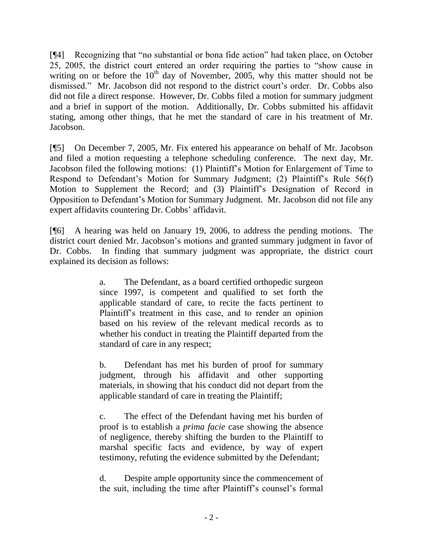[¶4] Recognizing that "no substantial or bona fide action" had taken place, on October 25, 2005, the district court entered an order requiring the parties to "show cause in writing on or before the  $10<sup>th</sup>$  day of November, 2005, why this matter should not be dismissed." Mr. Jacobson did not respond to the district court's order. Dr. Cobbs also did not file a direct response. However, Dr. Cobbs filed a motion for summary judgment and a brief in support of the motion. Additionally, Dr. Cobbs submitted his affidavit stating, among other things, that he met the standard of care in his treatment of Mr. Jacobson.

[¶5] On December 7, 2005, Mr. Fix entered his appearance on behalf of Mr. Jacobson and filed a motion requesting a telephone scheduling conference. The next day, Mr. Jacobson filed the following motions: (1) Plaintiff"s Motion for Enlargement of Time to Respond to Defendant's Motion for Summary Judgment; (2) Plaintiff's Rule 56(f) Motion to Supplement the Record; and (3) Plaintiff"s Designation of Record in Opposition to Defendant"s Motion for Summary Judgment. Mr. Jacobson did not file any expert affidavits countering Dr. Cobbs' affidavit.

[¶6] A hearing was held on January 19, 2006, to address the pending motions. The district court denied Mr. Jacobson"s motions and granted summary judgment in favor of Dr. Cobbs. In finding that summary judgment was appropriate, the district court explained its decision as follows:

> a. The Defendant, as a board certified orthopedic surgeon since 1997, is competent and qualified to set forth the applicable standard of care, to recite the facts pertinent to Plaintiff"s treatment in this case, and to render an opinion based on his review of the relevant medical records as to whether his conduct in treating the Plaintiff departed from the standard of care in any respect;

> b. Defendant has met his burden of proof for summary judgment, through his affidavit and other supporting materials, in showing that his conduct did not depart from the applicable standard of care in treating the Plaintiff;

> c. The effect of the Defendant having met his burden of proof is to establish a *prima facie* case showing the absence of negligence, thereby shifting the burden to the Plaintiff to marshal specific facts and evidence, by way of expert testimony, refuting the evidence submitted by the Defendant;

> d. Despite ample opportunity since the commencement of the suit, including the time after Plaintiff"s counsel"s formal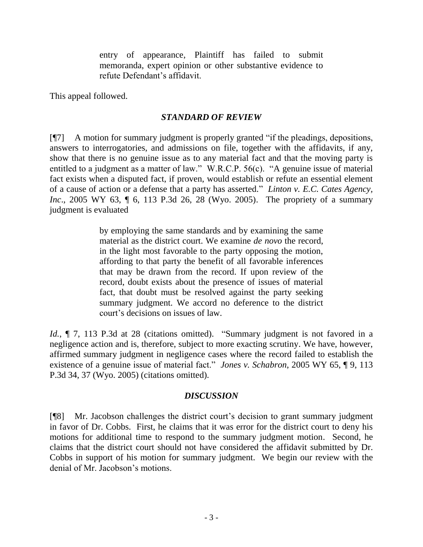entry of appearance, Plaintiff has failed to submit memoranda, expert opinion or other substantive evidence to refute Defendant"s affidavit.

This appeal followed.

### *STANDARD OF REVIEW*

[¶7] A motion for summary judgment is properly granted "if the pleadings, depositions, answers to interrogatories, and admissions on file, together with the affidavits, if any, show that there is no genuine issue as to any material fact and that the moving party is entitled to a judgment as a matter of law." W.R.C.P. 56(c). "A genuine issue of material fact exists when a disputed fact, if proven, would establish or refute an essential element of a cause of action or a defense that a party has asserted." *Linton v. E.C. Cates Agency, Inc.*, 2005 WY 63, 10, 6, 113 P.3d 26, 28 (Wyo. 2005). The propriety of a summary judgment is evaluated

> by employing the same standards and by examining the same material as the district court. We examine *de novo* the record, in the light most favorable to the party opposing the motion, affording to that party the benefit of all favorable inferences that may be drawn from the record. If upon review of the record, doubt exists about the presence of issues of material fact, that doubt must be resolved against the party seeking summary judgment. We accord no deference to the district court"s decisions on issues of law.

*Id.*,  $\P$  7, 113 P.3d at 28 (citations omitted). "Summary judgment is not favored in a negligence action and is, therefore, subject to more exacting scrutiny. We have, however, affirmed summary judgment in negligence cases where the record failed to establish the existence of a genuine issue of material fact." *Jones v. Schabron*, 2005 WY 65, ¶ 9, 113 P.3d 34, 37 (Wyo. 2005) (citations omitted).

# *DISCUSSION*

[¶8] Mr. Jacobson challenges the district court"s decision to grant summary judgment in favor of Dr. Cobbs. First, he claims that it was error for the district court to deny his motions for additional time to respond to the summary judgment motion. Second, he claims that the district court should not have considered the affidavit submitted by Dr. Cobbs in support of his motion for summary judgment. We begin our review with the denial of Mr. Jacobson's motions.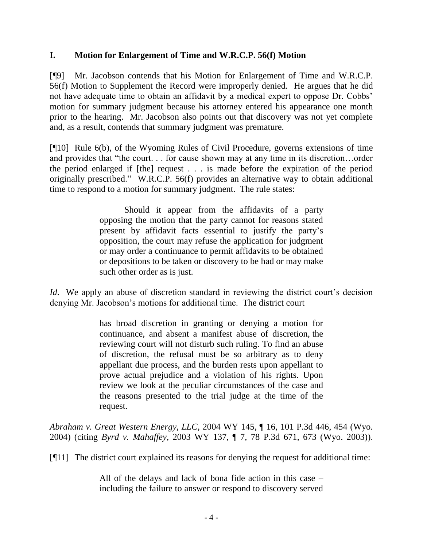#### **I. Motion for Enlargement of Time and W.R.C.P. 56(f) Motion**

[¶9] Mr. Jacobson contends that his Motion for Enlargement of Time and W.R.C.P. 56(f) Motion to Supplement the Record were improperly denied. He argues that he did not have adequate time to obtain an affidavit by a medical expert to oppose Dr. Cobbs" motion for summary judgment because his attorney entered his appearance one month prior to the hearing. Mr. Jacobson also points out that discovery was not yet complete and, as a result, contends that summary judgment was premature.

[¶10] Rule 6(b), of the Wyoming Rules of Civil Procedure, governs extensions of time and provides that "the court. . . for cause shown may at any time in its discretion…order the period enlarged if [the] request . . . is made before the expiration of the period originally prescribed." W.R.C.P. 56(f) provides an alternative way to obtain additional time to respond to a motion for summary judgment. The rule states:

> Should it appear from the affidavits of a party opposing the motion that the party cannot for reasons stated present by affidavit facts essential to justify the party"s opposition, the court may refuse the application for judgment or may order a continuance to permit affidavits to be obtained or depositions to be taken or discovery to be had or may make such other order as is just.

*Id.* We apply an abuse of discretion standard in reviewing the district court's decision denying Mr. Jacobson"s motions for additional time. The district court

> has broad discretion in granting or denying a motion for continuance, and absent a manifest abuse of discretion, the reviewing court will not disturb such ruling. To find an abuse of discretion, the refusal must be so arbitrary as to deny appellant due process, and the burden rests upon appellant to prove actual prejudice and a violation of his rights. Upon review we look at the peculiar circumstances of the case and the reasons presented to the trial judge at the time of the request.

*Abraham v. Great Western Energy, LLC*[, 2004 WY 145, ¶ 16, 101 P.3d 446, 454 \(Wyo.](http://www.lexis.com/research/xlink?app=00075&view=full&searchtype=get&search=2004+WY+145)  [2004\)](http://www.lexis.com/research/xlink?app=00075&view=full&searchtype=get&search=2004+WY+145) (citing *Byrd v. Mahaffey*, 2003 WY 137, ¶ 7, 78 P.3d 671, 673 (Wyo. 2003)).

[¶11] The district court explained its reasons for denying the request for additional time:

All of the delays and lack of bona fide action in this case – including the failure to answer or respond to discovery served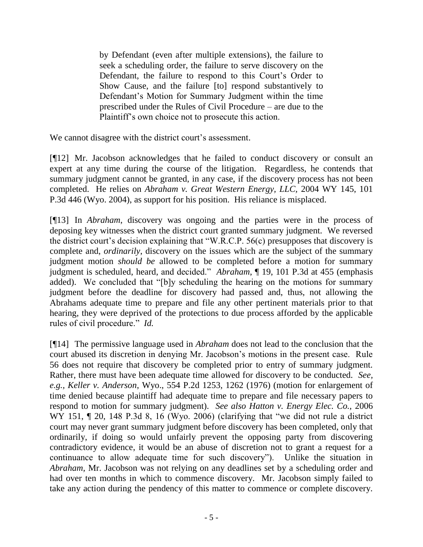by Defendant (even after multiple extensions), the failure to seek a scheduling order, the failure to serve discovery on the Defendant, the failure to respond to this Court's Order to Show Cause, and the failure [to] respond substantively to Defendant"s Motion for Summary Judgment within the time prescribed under the Rules of Civil Procedure – are due to the Plaintiff"s own choice not to prosecute this action.

We cannot disagree with the district court's assessment.

[¶12] Mr. Jacobson acknowledges that he failed to conduct discovery or consult an expert at any time during the course of the litigation. Regardless, he contends that summary judgment cannot be granted, in any case, if the discovery process has not been completed. He relies on *Abraham v. Great Western Energy, LLC,* 2004 WY 145, 101 P.3d 446 (Wyo. 2004), as support for his position. His reliance is misplaced.

[¶13] In *Abraham*, discovery was ongoing and the parties were in the process of deposing key witnesses when the district court granted summary judgment. We reversed the district court's decision explaining that "W.R.C.P.  $56(c)$  presupposes that discovery is complete and, *ordinarily*, discovery on the issues which are the subject of the summary judgment motion *should be* allowed to be completed before a motion for summary judgment is scheduled, heard, and decided." *Abraham*, ¶ 19, 101 P.3d at 455 (emphasis added). We concluded that "[b]y scheduling the hearing on the motions for summary judgment before the deadline for discovery had passed and, thus, not allowing the Abrahams adequate time to prepare and file any other pertinent materials prior to that hearing, they were deprived of the protections to due process afforded by the applicable rules of civil procedure." *Id.*

[¶14] The permissive language used in *Abraham* does not lead to the conclusion that the court abused its discretion in denying Mr. Jacobson"s motions in the present case. Rule 56 does not require that discovery be completed prior to entry of summary judgment. Rather, there must have been adequate time allowed for discovery to be conducted. *See, e.g., Keller v. Anderson*, Wyo., 554 P.2d 1253, 1262 (1976) (motion for enlargement of time denied because plaintiff had adequate time to prepare and file necessary papers to respond to motion for summary judgment). *See also Hatton v. Energy Elec. Co.,* 2006 WY 151,  $\P$  20, 148 P.3d 8, 16 (Wyo. 2006) (clarifying that "we did not rule a district court may never grant summary judgment before discovery has been completed, only that ordinarily, if doing so would unfairly prevent the opposing party from discovering contradictory evidence, it would be an abuse of discretion not to grant a request for a continuance to allow adequate time for such discovery"). Unlike the situation in *Abraham,* Mr. Jacobson was not relying on any deadlines set by a scheduling order and had over ten months in which to commence discovery. Mr. Jacobson simply failed to take any action during the pendency of this matter to commence or complete discovery.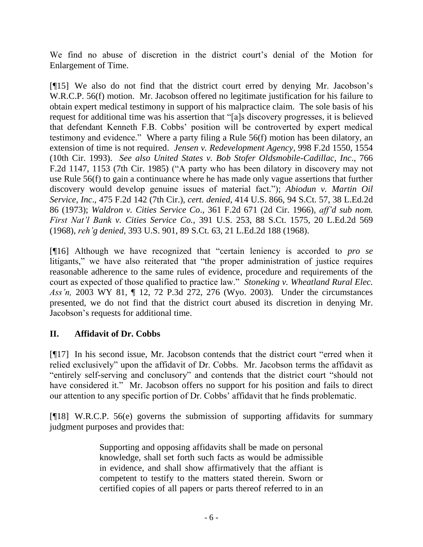We find no abuse of discretion in the district court's denial of the Motion for Enlargement of Time.

[¶15] We also do not find that the district court erred by denying Mr. Jacobson"s W.R.C.P. 56(f) motion. Mr. Jacobson offered no legitimate justification for his failure to obtain expert medical testimony in support of his malpractice claim. The sole basis of his request for additional time was his assertion that "[a]s discovery progresses, it is believed that defendant Kenneth F.B. Cobbs" position will be controverted by expert medical testimony and evidence." Where a party filing a Rule 56(f) motion has been dilatory, an extension of time is not required. *[Jensen v. Redevelopment Agency](http://www.lexis.com/research/xlink?app=00075&view=full&searchtype=get&search=998+F.2d+1554)*, 998 F.2d 1550, 1554 [\(10th Cir. 1993\).](http://www.lexis.com/research/xlink?app=00075&view=full&searchtype=get&search=998+F.2d+1554) *See also [United States v. Bob Stofer Oldsmobile-Cadillac, Inc](http://www.lexis.com/research/xlink?app=00075&view=full&searchtype=get&search=766+F.2d+1153)*., 766 [F.2d 1147, 1153 \(7th Cir. 1985\)](http://www.lexis.com/research/xlink?app=00075&view=full&searchtype=get&search=766+F.2d+1153) ("A party who has been dilatory in discovery may not use Rule 56(f) to gain a continuance where he has made only vague assertions that further discovery would develop genuine issues of material fact."); *Abiodun v. Martin Oil Service, Inc*., 475 F.2d 142 (7th Cir.), *cert. denied*, 414 U.S. 866, 94 S.Ct. 57, 38 L.Ed.2d 86 (1973); *Waldron v. Cities Service Co*., 361 F.2d 671 (2d Cir. 1966), *aff'd sub nom. First Nat'l Bank v. Cities Service Co.*, 391 U.S. 253, 88 S.Ct. 1575, 20 L.Ed.2d 569 (1968), *reh'g denied*, 393 U.S. 901, 89 S.Ct. 63, 21 L.Ed.2d 188 (1968).

[¶16] Although we have recognized that "certain leniency is accorded to *pro se*  litigants," we have also reiterated that "the proper administration of justice requires reasonable adherence to the same rules of evidence, procedure and requirements of the court as expected of those qualified to practice law." *Stoneking v. Wheatland Rural Elec. Ass'n,* 2003 WY 81, ¶ 12, 72 P.3d 272, 276 (Wyo. 2003). Under the circumstances presented, we do not find that the district court abused its discretion in denying Mr. Jacobson"s requests for additional time.

# **II. Affidavit of Dr. Cobbs**

[¶17] In his second issue, Mr. Jacobson contends that the district court "erred when it relied exclusively" upon the affidavit of Dr. Cobbs. Mr. Jacobson terms the affidavit as "entirely self-serving and conclusory" and contends that the district court "should not have considered it." Mr. Jacobson offers no support for his position and fails to direct our attention to any specific portion of Dr. Cobbs" affidavit that he finds problematic.

[¶18] W.R.C.P. 56(e) governs the submission of supporting affidavits for summary judgment purposes and provides that:

> Supporting and opposing affidavits shall be made on personal knowledge, shall set forth such facts as would be admissible in evidence, and shall show affirmatively that the affiant is competent to testify to the matters stated therein. Sworn or certified copies of all papers or parts thereof referred to in an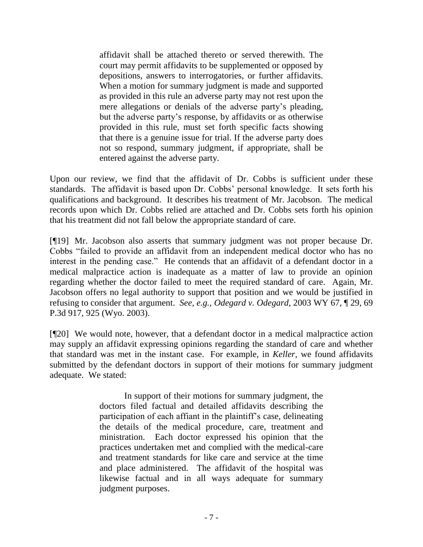affidavit shall be attached thereto or served therewith. The court may permit affidavits to be supplemented or opposed by depositions, answers to interrogatories, or further affidavits. When a motion for summary judgment is made and supported as provided in this rule an adverse party may not rest upon the mere allegations or denials of the adverse party"s pleading, but the adverse party"s response, by affidavits or as otherwise provided in this rule, must set forth specific facts showing that there is a genuine issue for trial. If the adverse party does not so respond, summary judgment, if appropriate, shall be entered against the adverse party.

Upon our review, we find that the affidavit of Dr. Cobbs is sufficient under these standards. The affidavit is based upon Dr. Cobbs" personal knowledge. It sets forth his qualifications and background. It describes his treatment of Mr. Jacobson. The medical records upon which Dr. Cobbs relied are attached and Dr. Cobbs sets forth his opinion that his treatment did not fall below the appropriate standard of care.

[¶19] Mr. Jacobson also asserts that summary judgment was not proper because Dr. Cobbs "failed to provide an affidavit from an independent medical doctor who has no interest in the pending case." He contends that an affidavit of a defendant doctor in a medical malpractice action is inadequate as a matter of law to provide an opinion regarding whether the doctor failed to meet the required standard of care. Again, Mr. Jacobson offers no legal authority to support that position and we would be justified in refusing to consider that argument. *See, e.g., Odegard v. Odegard,* 2003 WY 67, ¶ 29, 69 P.3d 917, 925 (Wyo. 2003).

[¶20] We would note, however, that a defendant doctor in a medical malpractice action may supply an affidavit expressing opinions regarding the standard of care and whether that standard was met in the instant case. For example, in *Keller*, we found affidavits submitted by the defendant doctors in support of their motions for summary judgment adequate. We stated:

> In support of their motions for summary judgment, the doctors filed factual and detailed affidavits describing the participation of each affiant in the plaintiff"s case, delineating the details of the medical procedure, care, treatment and ministration. Each doctor expressed his opinion that the practices undertaken met and complied with the medical-care and treatment standards for like care and service at the time and place administered. The affidavit of the hospital was likewise factual and in all ways adequate for summary judgment purposes.